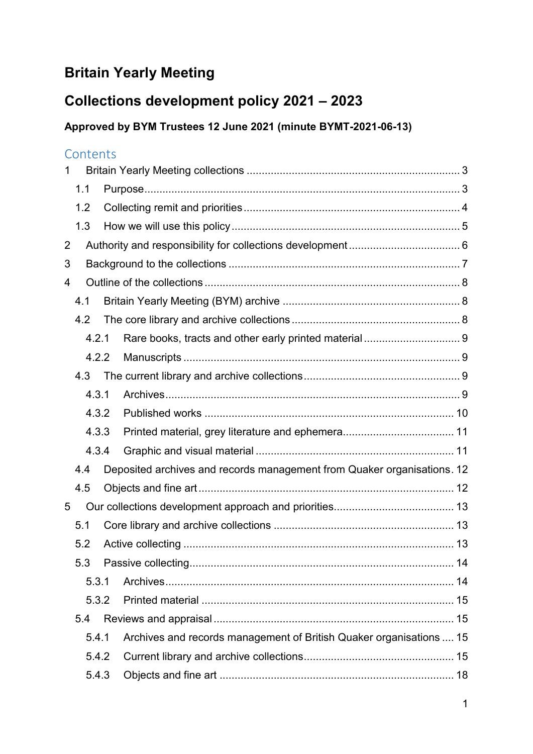# **Britain Yearly Meeting**

# **Collections development policy 2021 – 2023**

### **Approved by BYM Trustees 12 June 2021 (minute BYMT-2021-06-13)**

### **Contents**

| 1              |       |       |  |                                                                         |  |  |
|----------------|-------|-------|--|-------------------------------------------------------------------------|--|--|
|                | 1.1   |       |  |                                                                         |  |  |
|                | 1.2   |       |  |                                                                         |  |  |
|                | 1.3   |       |  |                                                                         |  |  |
| $\overline{2}$ |       |       |  |                                                                         |  |  |
| 3              |       |       |  |                                                                         |  |  |
| 4              |       |       |  |                                                                         |  |  |
|                | 4.1   |       |  |                                                                         |  |  |
|                | 4.2   |       |  |                                                                         |  |  |
|                |       | 4.2.1 |  |                                                                         |  |  |
|                |       | 4.2.2 |  |                                                                         |  |  |
|                | 4.3   |       |  |                                                                         |  |  |
|                | 4.3.1 |       |  |                                                                         |  |  |
|                | 4.3.2 |       |  |                                                                         |  |  |
|                | 4.3.3 |       |  |                                                                         |  |  |
|                | 4.3.4 |       |  |                                                                         |  |  |
|                | 4.4   |       |  | Deposited archives and records management from Quaker organisations. 12 |  |  |
|                | 4.5   |       |  |                                                                         |  |  |
| 5              |       |       |  |                                                                         |  |  |
|                | 5.1   |       |  |                                                                         |  |  |
|                | 5.2   |       |  |                                                                         |  |  |
|                | 5.3   |       |  |                                                                         |  |  |
|                | 5.3.1 |       |  |                                                                         |  |  |
|                | 5.3.2 |       |  |                                                                         |  |  |
|                | 5.4   |       |  |                                                                         |  |  |
|                |       | 5.4.1 |  | Archives and records management of British Quaker organisations  15     |  |  |
|                |       | 5.4.2 |  |                                                                         |  |  |
|                | 5.4.3 |       |  |                                                                         |  |  |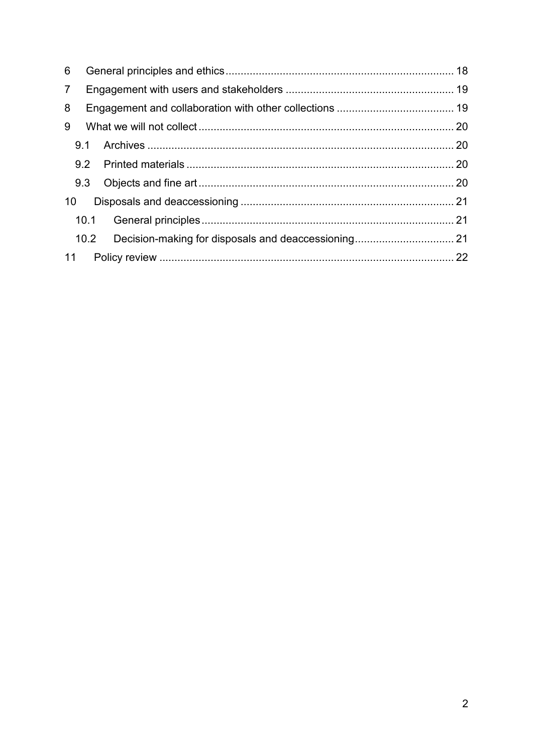| 6              |      |  |
|----------------|------|--|
| $\overline{7}$ |      |  |
| 8              |      |  |
| 9              |      |  |
|                | 9.1  |  |
|                |      |  |
|                |      |  |
| 10             |      |  |
|                | 10.1 |  |
|                | 10.2 |  |
| 11             |      |  |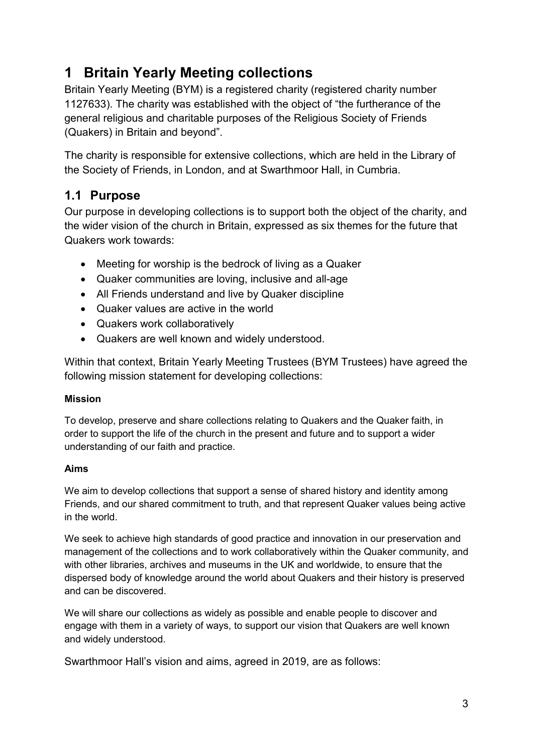# <span id="page-2-0"></span>**1 Britain Yearly Meeting collections**

Britain Yearly Meeting (BYM) is a registered charity (registered charity number 1127633). The charity was established with the object of "the furtherance of the general religious and charitable purposes of the Religious Society of Friends (Quakers) in Britain and beyond".

The charity is responsible for extensive collections, which are held in the Library of the Society of Friends, in London, and at Swarthmoor Hall, in Cumbria.

### <span id="page-2-1"></span>**1.1 Purpose**

Our purpose in developing collections is to support both the object of the charity, and the wider vision of the church in Britain, expressed as six themes for the future that Quakers work towards:

- Meeting for worship is the bedrock of living as a Quaker
- Quaker communities are loving, inclusive and all-age
- All Friends understand and live by Quaker discipline
- Quaker values are active in the world
- Quakers work collaboratively
- Quakers are well known and widely understood.

Within that context, Britain Yearly Meeting Trustees (BYM Trustees) have agreed the following mission statement for developing collections:

#### **Mission**

To develop, preserve and share collections relating to Quakers and the Quaker faith, in order to support the life of the church in the present and future and to support a wider understanding of our faith and practice.

#### **Aims**

We aim to develop collections that support a sense of shared history and identity among Friends, and our shared commitment to truth, and that represent Quaker values being active in the world.

We seek to achieve high standards of good practice and innovation in our preservation and management of the collections and to work collaboratively within the Quaker community, and with other libraries, archives and museums in the UK and worldwide, to ensure that the dispersed body of knowledge around the world about Quakers and their history is preserved and can be discovered.

We will share our collections as widely as possible and enable people to discover and engage with them in a variety of ways, to support our vision that Quakers are well known and widely understood.

Swarthmoor Hall's vision and aims, agreed in 2019, are as follows: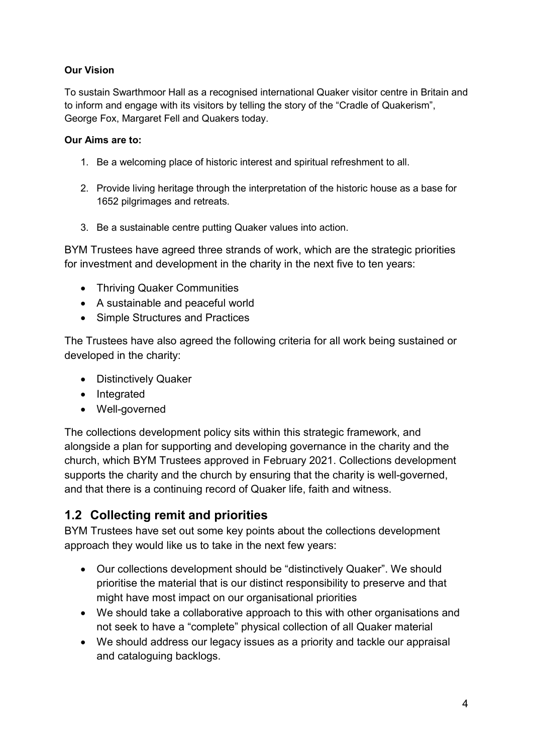#### **Our Vision**

To sustain Swarthmoor Hall as a recognised international Quaker visitor centre in Britain and to inform and engage with its visitors by telling the story of the "Cradle of Quakerism", George Fox, Margaret Fell and Quakers today.

#### **Our Aims are to:**

- 1. Be a welcoming place of historic interest and spiritual refreshment to all.
- 2. Provide living heritage through the interpretation of the historic house as a base for 1652 pilgrimages and retreats.
- 3. Be a sustainable centre putting Quaker values into action.

BYM Trustees have agreed three strands of work, which are the strategic priorities for investment and development in the charity in the next five to ten years:

- Thriving Quaker Communities
- A sustainable and peaceful world
- Simple Structures and Practices

The Trustees have also agreed the following criteria for all work being sustained or developed in the charity:

- Distinctively Quaker
- Integrated
- Well-governed

The collections development policy sits within this strategic framework, and alongside a plan for supporting and developing governance in the charity and the church, which BYM Trustees approved in February 2021. Collections development supports the charity and the church by ensuring that the charity is well-governed, and that there is a continuing record of Quaker life, faith and witness.

### <span id="page-3-0"></span>**1.2 Collecting remit and priorities**

BYM Trustees have set out some key points about the collections development approach they would like us to take in the next few years:

- Our collections development should be "distinctively Quaker". We should prioritise the material that is our distinct responsibility to preserve and that might have most impact on our organisational priorities
- We should take a collaborative approach to this with other organisations and not seek to have a "complete" physical collection of all Quaker material
- We should address our legacy issues as a priority and tackle our appraisal and cataloguing backlogs.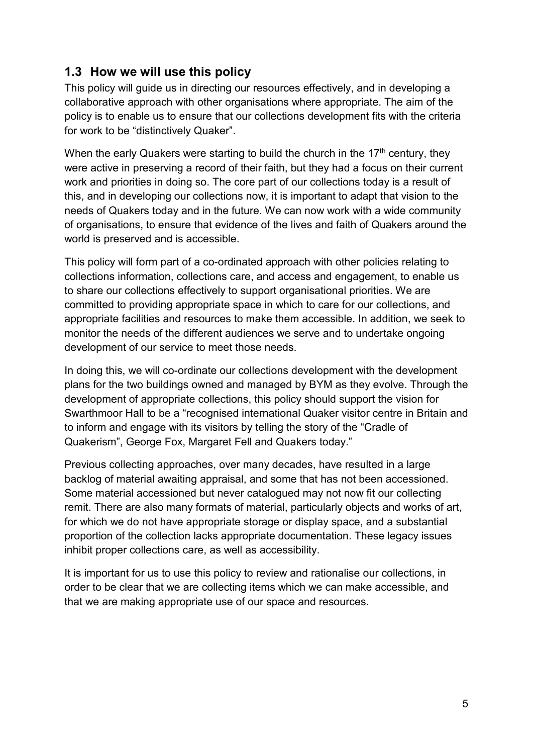### <span id="page-4-0"></span>**1.3 How we will use this policy**

This policy will guide us in directing our resources effectively, and in developing a collaborative approach with other organisations where appropriate. The aim of the policy is to enable us to ensure that our collections development fits with the criteria for work to be "distinctively Quaker".

When the early Quakers were starting to build the church in the 17<sup>th</sup> century, they were active in preserving a record of their faith, but they had a focus on their current work and priorities in doing so. The core part of our collections today is a result of this, and in developing our collections now, it is important to adapt that vision to the needs of Quakers today and in the future. We can now work with a wide community of organisations, to ensure that evidence of the lives and faith of Quakers around the world is preserved and is accessible.

This policy will form part of a co-ordinated approach with other policies relating to collections information, collections care, and access and engagement, to enable us to share our collections effectively to support organisational priorities. We are committed to providing appropriate space in which to care for our collections, and appropriate facilities and resources to make them accessible. In addition, we seek to monitor the needs of the different audiences we serve and to undertake ongoing development of our service to meet those needs.

In doing this, we will co-ordinate our collections development with the development plans for the two buildings owned and managed by BYM as they evolve. Through the development of appropriate collections, this policy should support the vision for Swarthmoor Hall to be a "recognised international Quaker visitor centre in Britain and to inform and engage with its visitors by telling the story of the "Cradle of Quakerism", George Fox, Margaret Fell and Quakers today."

Previous collecting approaches, over many decades, have resulted in a large backlog of material awaiting appraisal, and some that has not been accessioned. Some material accessioned but never catalogued may not now fit our collecting remit. There are also many formats of material, particularly objects and works of art, for which we do not have appropriate storage or display space, and a substantial proportion of the collection lacks appropriate documentation. These legacy issues inhibit proper collections care, as well as accessibility.

It is important for us to use this policy to review and rationalise our collections, in order to be clear that we are collecting items which we can make accessible, and that we are making appropriate use of our space and resources.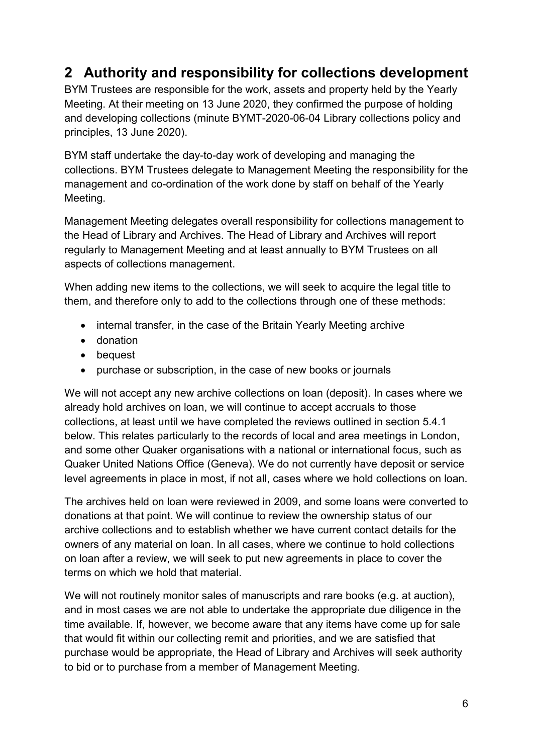## <span id="page-5-0"></span>**2 Authority and responsibility for collections development**

BYM Trustees are responsible for the work, assets and property held by the Yearly Meeting. At their meeting on 13 June 2020, they confirmed the purpose of holding and developing collections (minute BYMT-2020-06-04 Library collections policy and principles, 13 June 2020).

BYM staff undertake the day-to-day work of developing and managing the collections. BYM Trustees delegate to Management Meeting the responsibility for the management and co-ordination of the work done by staff on behalf of the Yearly Meeting.

Management Meeting delegates overall responsibility for collections management to the Head of Library and Archives. The Head of Library and Archives will report regularly to Management Meeting and at least annually to BYM Trustees on all aspects of collections management.

When adding new items to the collections, we will seek to acquire the legal title to them, and therefore only to add to the collections through one of these methods:

- internal transfer, in the case of the Britain Yearly Meeting archive
- donation
- bequest
- purchase or subscription, in the case of new books or journals

We will not accept any new archive collections on loan (deposit). In cases where we already hold archives on loan, we will continue to accept accruals to those collections, at least until we have completed the reviews outlined in section 5.4.1 below. This relates particularly to the records of local and area meetings in London, and some other Quaker organisations with a national or international focus, such as Quaker United Nations Office (Geneva). We do not currently have deposit or service level agreements in place in most, if not all, cases where we hold collections on loan.

The archives held on loan were reviewed in 2009, and some loans were converted to donations at that point. We will continue to review the ownership status of our archive collections and to establish whether we have current contact details for the owners of any material on loan. In all cases, where we continue to hold collections on loan after a review, we will seek to put new agreements in place to cover the terms on which we hold that material.

We will not routinely monitor sales of manuscripts and rare books (e.g. at auction), and in most cases we are not able to undertake the appropriate due diligence in the time available. If, however, we become aware that any items have come up for sale that would fit within our collecting remit and priorities, and we are satisfied that purchase would be appropriate, the Head of Library and Archives will seek authority to bid or to purchase from a member of Management Meeting.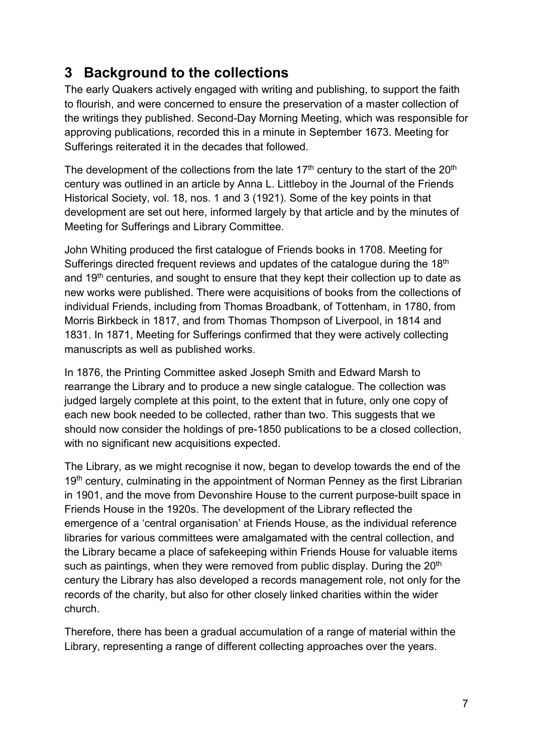## <span id="page-6-0"></span>**3 Background to the collections**

The early Quakers actively engaged with writing and publishing, to support the faith to flourish, and were concerned to ensure the preservation of a master collection of the writings they published. Second-Day Morning Meeting, which was responsible for approving publications, recorded this in a minute in September 1673. Meeting for Sufferings reiterated it in the decades that followed.

The development of the collections from the late  $17<sup>th</sup>$  century to the start of the  $20<sup>th</sup>$ century was outlined in an article by Anna L. Littleboy in the Journal of the Friends Historical Society, vol. 18, nos. 1 and 3 (1921). Some of the key points in that development are set out here, informed largely by that article and by the minutes of Meeting for Sufferings and Library Committee.

John Whiting produced the first catalogue of Friends books in 1708. Meeting for Sufferings directed frequent reviews and updates of the catalogue during the 18<sup>th</sup> and  $19<sup>th</sup>$  centuries, and sought to ensure that they kept their collection up to date as new works were published. There were acquisitions of books from the collections of individual Friends, including from Thomas Broadbank, of Tottenham, in 1780, from Morris Birkbeck in 1817, and from Thomas Thompson of Liverpool, in 1814 and 1831. In 1871, Meeting for Sufferings confirmed that they were actively collecting manuscripts as well as published works.

In 1876, the Printing Committee asked Joseph Smith and Edward Marsh to rearrange the Library and to produce a new single catalogue. The collection was judged largely complete at this point, to the extent that in future, only one copy of each new book needed to be collected, rather than two. This suggests that we should now consider the holdings of pre-1850 publications to be a closed collection, with no significant new acquisitions expected.

The Library, as we might recognise it now, began to develop towards the end of the 19<sup>th</sup> century, culminating in the appointment of Norman Penney as the first Librarian in 1901, and the move from Devonshire House to the current purpose-built space in Friends House in the 1920s. The development of the Library reflected the emergence of a 'central organisation' at Friends House, as the individual reference libraries for various committees were amalgamated with the central collection, and the Library became a place of safekeeping within Friends House for valuable items such as paintings, when they were removed from public display. During the 20<sup>th</sup> century the Library has also developed a records management role, not only for the records of the charity, but also for other closely linked charities within the wider church.

Therefore, there has been a gradual accumulation of a range of material within the Library, representing a range of different collecting approaches over the years.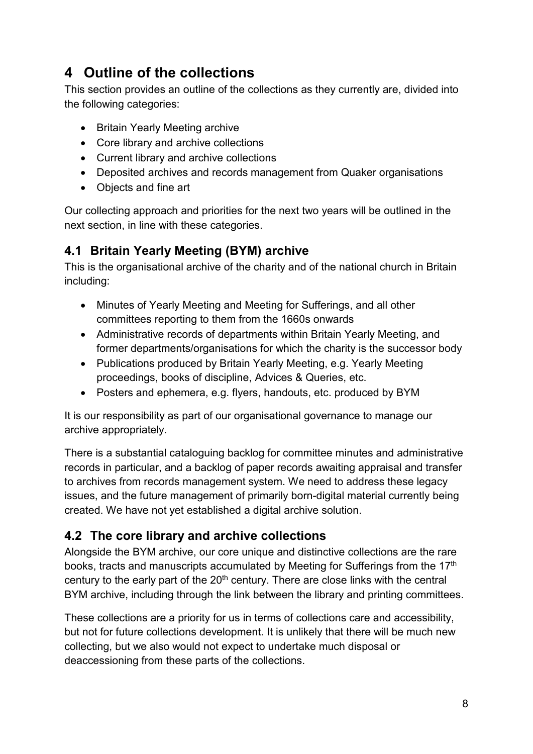## <span id="page-7-0"></span>**4 Outline of the collections**

This section provides an outline of the collections as they currently are, divided into the following categories:

- Britain Yearly Meeting archive
- Core library and archive collections
- Current library and archive collections
- Deposited archives and records management from Quaker organisations
- Objects and fine art

Our collecting approach and priorities for the next two years will be outlined in the next section, in line with these categories.

### <span id="page-7-1"></span>**4.1 Britain Yearly Meeting (BYM) archive**

This is the organisational archive of the charity and of the national church in Britain including:

- Minutes of Yearly Meeting and Meeting for Sufferings, and all other committees reporting to them from the 1660s onwards
- Administrative records of departments within Britain Yearly Meeting, and former departments/organisations for which the charity is the successor body
- Publications produced by Britain Yearly Meeting, e.g. Yearly Meeting proceedings, books of discipline, Advices & Queries, etc.
- Posters and ephemera, e.g. flyers, handouts, etc. produced by BYM

It is our responsibility as part of our organisational governance to manage our archive appropriately.

There is a substantial cataloguing backlog for committee minutes and administrative records in particular, and a backlog of paper records awaiting appraisal and transfer to archives from records management system. We need to address these legacy issues, and the future management of primarily born-digital material currently being created. We have not yet established a digital archive solution.

### <span id="page-7-2"></span>**4.2 The core library and archive collections**

Alongside the BYM archive, our core unique and distinctive collections are the rare books, tracts and manuscripts accumulated by Meeting for Sufferings from the 17<sup>th</sup> century to the early part of the  $20<sup>th</sup>$  century. There are close links with the central BYM archive, including through the link between the library and printing committees.

These collections are a priority for us in terms of collections care and accessibility, but not for future collections development. It is unlikely that there will be much new collecting, but we also would not expect to undertake much disposal or deaccessioning from these parts of the collections.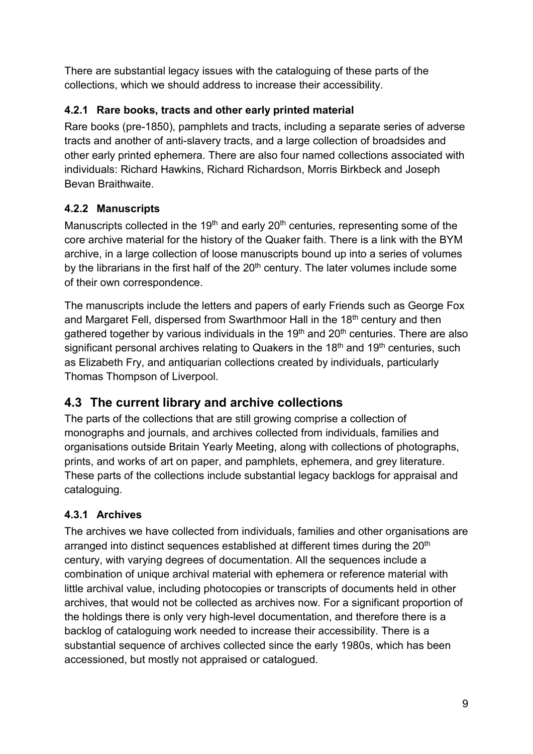There are substantial legacy issues with the cataloguing of these parts of the collections, which we should address to increase their accessibility.

### <span id="page-8-0"></span>**4.2.1 Rare books, tracts and other early printed material**

Rare books (pre-1850), pamphlets and tracts, including a separate series of adverse tracts and another of anti-slavery tracts, and a large collection of broadsides and other early printed ephemera. There are also four named collections associated with individuals: Richard Hawkins, Richard Richardson, Morris Birkbeck and Joseph Bevan Braithwaite.

### <span id="page-8-1"></span>**4.2.2 Manuscripts**

Manuscripts collected in the 19<sup>th</sup> and early 20<sup>th</sup> centuries, representing some of the core archive material for the history of the Quaker faith. There is a link with the BYM archive, in a large collection of loose manuscripts bound up into a series of volumes by the librarians in the first half of the  $20<sup>th</sup>$  century. The later volumes include some of their own correspondence.

The manuscripts include the letters and papers of early Friends such as George Fox and Margaret Fell, dispersed from Swarthmoor Hall in the 18<sup>th</sup> century and then gathered together by various individuals in the  $19<sup>th</sup>$  and  $20<sup>th</sup>$  centuries. There are also significant personal archives relating to Quakers in the  $18<sup>th</sup>$  and  $19<sup>th</sup>$  centuries, such as Elizabeth Fry, and antiquarian collections created by individuals, particularly Thomas Thompson of Liverpool.

### <span id="page-8-2"></span>**4.3 The current library and archive collections**

The parts of the collections that are still growing comprise a collection of monographs and journals, and archives collected from individuals, families and organisations outside Britain Yearly Meeting, along with collections of photographs, prints, and works of art on paper, and pamphlets, ephemera, and grey literature. These parts of the collections include substantial legacy backlogs for appraisal and cataloguing.

### <span id="page-8-3"></span>**4.3.1 Archives**

The archives we have collected from individuals, families and other organisations are arranged into distinct sequences established at different times during the 20<sup>th</sup> century, with varying degrees of documentation. All the sequences include a combination of unique archival material with ephemera or reference material with little archival value, including photocopies or transcripts of documents held in other archives, that would not be collected as archives now. For a significant proportion of the holdings there is only very high-level documentation, and therefore there is a backlog of cataloguing work needed to increase their accessibility. There is a substantial sequence of archives collected since the early 1980s, which has been accessioned, but mostly not appraised or catalogued.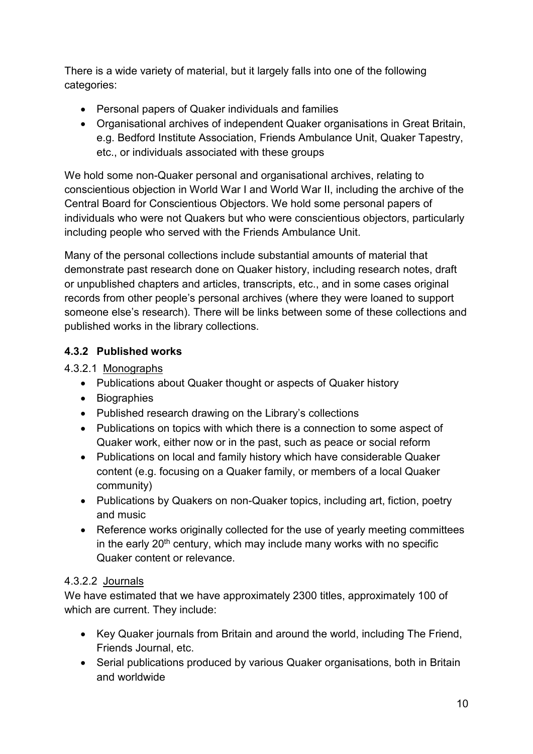There is a wide variety of material, but it largely falls into one of the following categories:

- Personal papers of Quaker individuals and families
- Organisational archives of independent Quaker organisations in Great Britain, e.g. Bedford Institute Association, Friends Ambulance Unit, Quaker Tapestry, etc., or individuals associated with these groups

We hold some non-Quaker personal and organisational archives, relating to conscientious objection in World War I and World War II, including the archive of the Central Board for Conscientious Objectors. We hold some personal papers of individuals who were not Quakers but who were conscientious objectors, particularly including people who served with the Friends Ambulance Unit.

Many of the personal collections include substantial amounts of material that demonstrate past research done on Quaker history, including research notes, draft or unpublished chapters and articles, transcripts, etc., and in some cases original records from other people's personal archives (where they were loaned to support someone else's research). There will be links between some of these collections and published works in the library collections.

### <span id="page-9-0"></span>**4.3.2 Published works**

4.3.2.1 Monographs

- Publications about Quaker thought or aspects of Quaker history
- Biographies
- Published research drawing on the Library's collections
- Publications on topics with which there is a connection to some aspect of Quaker work, either now or in the past, such as peace or social reform
- Publications on local and family history which have considerable Quaker content (e.g. focusing on a Quaker family, or members of a local Quaker community)
- Publications by Quakers on non-Quaker topics, including art, fiction, poetry and music
- Reference works originally collected for the use of yearly meeting committees in the early  $20<sup>th</sup>$  century, which may include many works with no specific Quaker content or relevance.

#### 4.3.2.2 Journals

We have estimated that we have approximately 2300 titles, approximately 100 of which are current. They include:

- Key Quaker journals from Britain and around the world, including The Friend, Friends Journal, etc.
- Serial publications produced by various Quaker organisations, both in Britain and worldwide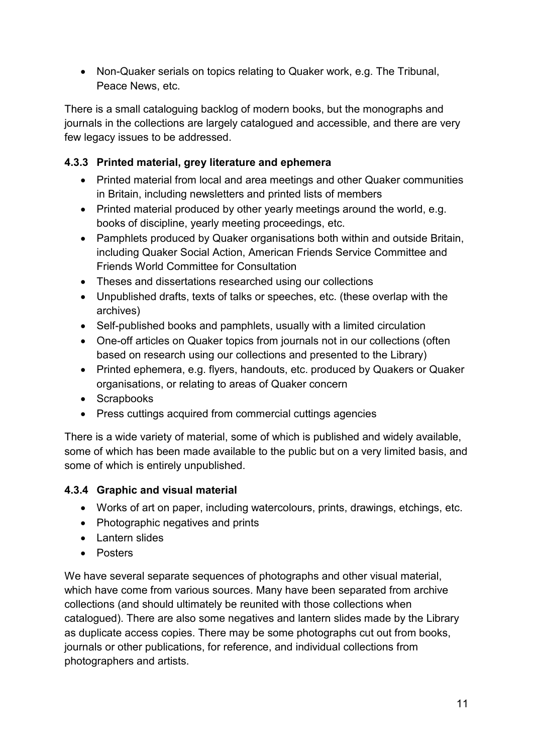• Non-Quaker serials on topics relating to Quaker work, e.g. The Tribunal, Peace News, etc.

There is a small cataloguing backlog of modern books, but the monographs and journals in the collections are largely catalogued and accessible, and there are very few legacy issues to be addressed.

#### <span id="page-10-0"></span>**4.3.3 Printed material, grey literature and ephemera**

- Printed material from local and area meetings and other Quaker communities in Britain, including newsletters and printed lists of members
- Printed material produced by other yearly meetings around the world, e.g. books of discipline, yearly meeting proceedings, etc.
- Pamphlets produced by Quaker organisations both within and outside Britain, including Quaker Social Action, American Friends Service Committee and Friends World Committee for Consultation
- Theses and dissertations researched using our collections
- Unpublished drafts, texts of talks or speeches, etc. (these overlap with the archives)
- Self-published books and pamphlets, usually with a limited circulation
- One-off articles on Quaker topics from journals not in our collections (often based on research using our collections and presented to the Library)
- Printed ephemera, e.g. flyers, handouts, etc. produced by Quakers or Quaker organisations, or relating to areas of Quaker concern
- Scrapbooks
- Press cuttings acquired from commercial cuttings agencies

There is a wide variety of material, some of which is published and widely available, some of which has been made available to the public but on a very limited basis, and some of which is entirely unpublished.

#### <span id="page-10-1"></span>**4.3.4 Graphic and visual material**

- Works of art on paper, including watercolours, prints, drawings, etchings, etc.
- Photographic negatives and prints
- Lantern slides
- Posters

We have several separate sequences of photographs and other visual material, which have come from various sources. Many have been separated from archive collections (and should ultimately be reunited with those collections when catalogued). There are also some negatives and lantern slides made by the Library as duplicate access copies. There may be some photographs cut out from books, journals or other publications, for reference, and individual collections from photographers and artists.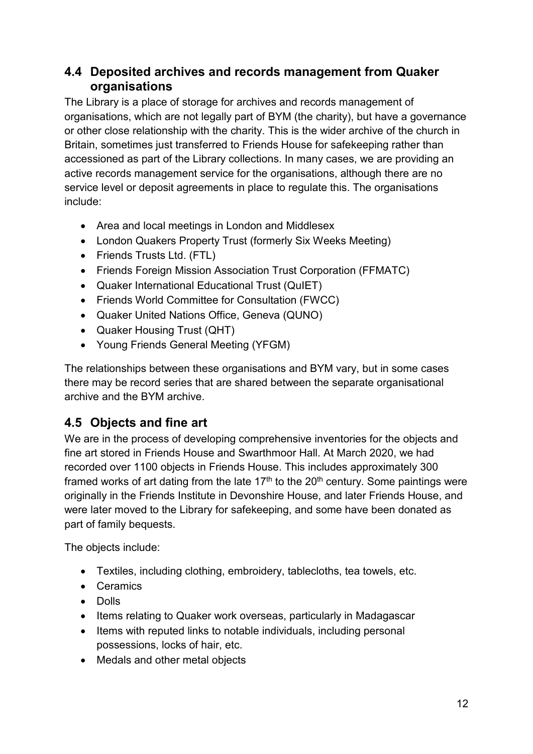### <span id="page-11-0"></span>**4.4 Deposited archives and records management from Quaker organisations**

The Library is a place of storage for archives and records management of organisations, which are not legally part of BYM (the charity), but have a governance or other close relationship with the charity. This is the wider archive of the church in Britain, sometimes just transferred to Friends House for safekeeping rather than accessioned as part of the Library collections. In many cases, we are providing an active records management service for the organisations, although there are no service level or deposit agreements in place to regulate this. The organisations include:

- Area and local meetings in London and Middlesex
- London Quakers Property Trust (formerly Six Weeks Meeting)
- Friends Trusts Ltd. (FTL)
- Friends Foreign Mission Association Trust Corporation (FFMATC)
- Quaker International Educational Trust (QuIET)
- Friends World Committee for Consultation (FWCC)
- Quaker United Nations Office, Geneva (QUNO)
- Quaker Housing Trust (QHT)
- Young Friends General Meeting (YFGM)

The relationships between these organisations and BYM vary, but in some cases there may be record series that are shared between the separate organisational archive and the BYM archive.

### <span id="page-11-1"></span>**4.5 Objects and fine art**

We are in the process of developing comprehensive inventories for the objects and fine art stored in Friends House and Swarthmoor Hall. At March 2020, we had recorded over 1100 objects in Friends House. This includes approximately 300 framed works of art dating from the late  $17<sup>th</sup>$  to the  $20<sup>th</sup>$  century. Some paintings were originally in the Friends Institute in Devonshire House, and later Friends House, and were later moved to the Library for safekeeping, and some have been donated as part of family bequests.

The objects include:

- Textiles, including clothing, embroidery, tablecloths, tea towels, etc.
- Ceramics
- Dolls
- Items relating to Quaker work overseas, particularly in Madagascar
- Items with reputed links to notable individuals, including personal possessions, locks of hair, etc.
- Medals and other metal objects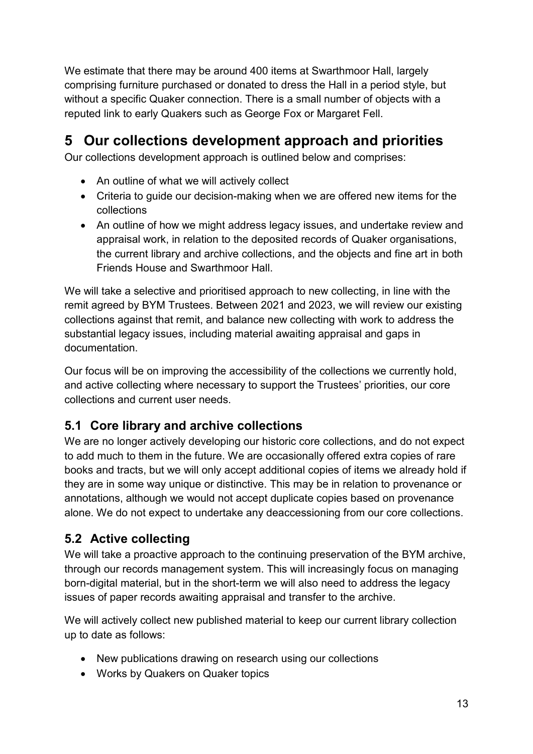We estimate that there may be around 400 items at Swarthmoor Hall, largely comprising furniture purchased or donated to dress the Hall in a period style, but without a specific Quaker connection. There is a small number of objects with a reputed link to early Quakers such as George Fox or Margaret Fell.

# <span id="page-12-0"></span>**5 Our collections development approach and priorities**

Our collections development approach is outlined below and comprises:

- An outline of what we will actively collect
- Criteria to guide our decision-making when we are offered new items for the collections
- An outline of how we might address legacy issues, and undertake review and appraisal work, in relation to the deposited records of Quaker organisations, the current library and archive collections, and the objects and fine art in both Friends House and Swarthmoor Hall.

We will take a selective and prioritised approach to new collecting, in line with the remit agreed by BYM Trustees. Between 2021 and 2023, we will review our existing collections against that remit, and balance new collecting with work to address the substantial legacy issues, including material awaiting appraisal and gaps in documentation.

Our focus will be on improving the accessibility of the collections we currently hold, and active collecting where necessary to support the Trustees' priorities, our core collections and current user needs.

### <span id="page-12-1"></span>**5.1 Core library and archive collections**

We are no longer actively developing our historic core collections, and do not expect to add much to them in the future. We are occasionally offered extra copies of rare books and tracts, but we will only accept additional copies of items we already hold if they are in some way unique or distinctive. This may be in relation to provenance or annotations, although we would not accept duplicate copies based on provenance alone. We do not expect to undertake any deaccessioning from our core collections.

### <span id="page-12-2"></span>**5.2 Active collecting**

We will take a proactive approach to the continuing preservation of the BYM archive, through our records management system. This will increasingly focus on managing born-digital material, but in the short-term we will also need to address the legacy issues of paper records awaiting appraisal and transfer to the archive.

We will actively collect new published material to keep our current library collection up to date as follows:

- New publications drawing on research using our collections
- Works by Quakers on Quaker topics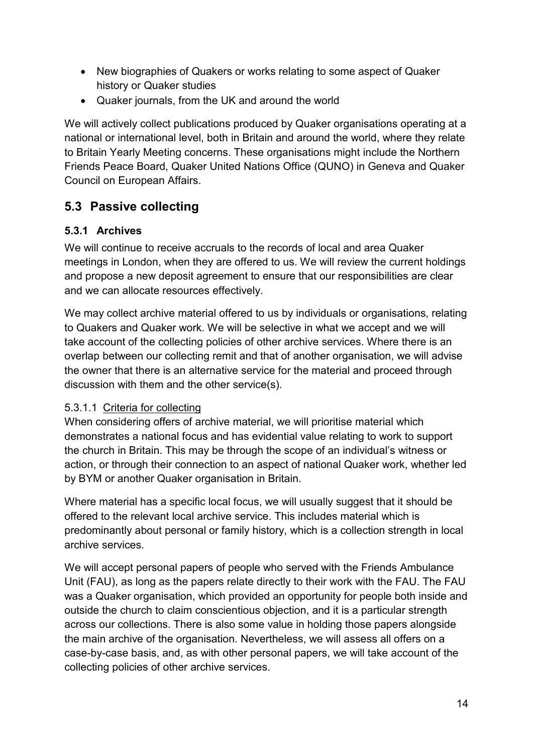- New biographies of Quakers or works relating to some aspect of Quaker history or Quaker studies
- Quaker journals, from the UK and around the world

We will actively collect publications produced by Quaker organisations operating at a national or international level, both in Britain and around the world, where they relate to Britain Yearly Meeting concerns. These organisations might include the Northern Friends Peace Board, Quaker United Nations Office (QUNO) in Geneva and Quaker Council on European Affairs.

### <span id="page-13-0"></span>**5.3 Passive collecting**

### <span id="page-13-1"></span>**5.3.1 Archives**

We will continue to receive accruals to the records of local and area Quaker meetings in London, when they are offered to us. We will review the current holdings and propose a new deposit agreement to ensure that our responsibilities are clear and we can allocate resources effectively.

We may collect archive material offered to us by individuals or organisations, relating to Quakers and Quaker work. We will be selective in what we accept and we will take account of the collecting policies of other archive services. Where there is an overlap between our collecting remit and that of another organisation, we will advise the owner that there is an alternative service for the material and proceed through discussion with them and the other service(s).

#### 5.3.1.1 Criteria for collecting

When considering offers of archive material, we will prioritise material which demonstrates a national focus and has evidential value relating to work to support the church in Britain. This may be through the scope of an individual's witness or action, or through their connection to an aspect of national Quaker work, whether led by BYM or another Quaker organisation in Britain.

Where material has a specific local focus, we will usually suggest that it should be offered to the relevant local archive service. This includes material which is predominantly about personal or family history, which is a collection strength in local archive services.

We will accept personal papers of people who served with the Friends Ambulance Unit (FAU), as long as the papers relate directly to their work with the FAU. The FAU was a Quaker organisation, which provided an opportunity for people both inside and outside the church to claim conscientious objection, and it is a particular strength across our collections. There is also some value in holding those papers alongside the main archive of the organisation. Nevertheless, we will assess all offers on a case-by-case basis, and, as with other personal papers, we will take account of the collecting policies of other archive services.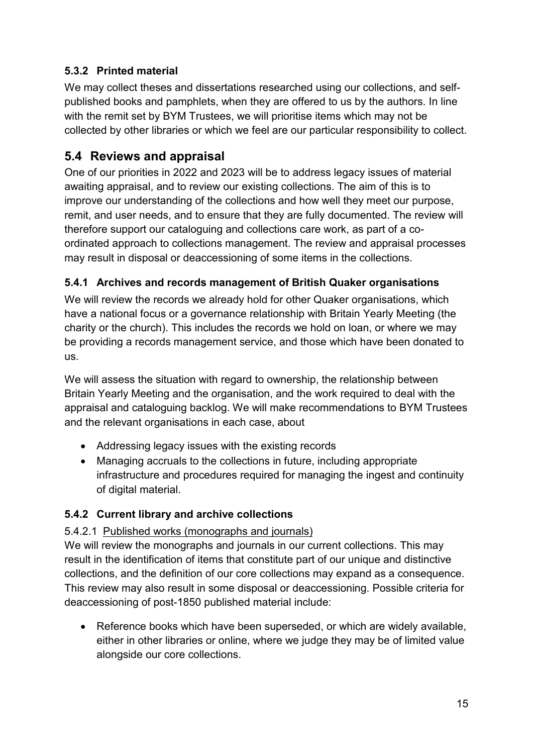### <span id="page-14-0"></span>**5.3.2 Printed material**

We may collect theses and dissertations researched using our collections, and selfpublished books and pamphlets, when they are offered to us by the authors. In line with the remit set by BYM Trustees, we will prioritise items which may not be collected by other libraries or which we feel are our particular responsibility to collect.

### <span id="page-14-1"></span>**5.4 Reviews and appraisal**

One of our priorities in 2022 and 2023 will be to address legacy issues of material awaiting appraisal, and to review our existing collections. The aim of this is to improve our understanding of the collections and how well they meet our purpose, remit, and user needs, and to ensure that they are fully documented. The review will therefore support our cataloguing and collections care work, as part of a coordinated approach to collections management. The review and appraisal processes may result in disposal or deaccessioning of some items in the collections.

### <span id="page-14-2"></span>**5.4.1 Archives and records management of British Quaker organisations**

We will review the records we already hold for other Quaker organisations, which have a national focus or a governance relationship with Britain Yearly Meeting (the charity or the church). This includes the records we hold on loan, or where we may be providing a records management service, and those which have been donated to us.

We will assess the situation with regard to ownership, the relationship between Britain Yearly Meeting and the organisation, and the work required to deal with the appraisal and cataloguing backlog. We will make recommendations to BYM Trustees and the relevant organisations in each case, about

- Addressing legacy issues with the existing records
- Managing accruals to the collections in future, including appropriate infrastructure and procedures required for managing the ingest and continuity of digital material.

#### <span id="page-14-3"></span>**5.4.2 Current library and archive collections**

#### 5.4.2.1 Published works (monographs and journals)

We will review the monographs and journals in our current collections. This may result in the identification of items that constitute part of our unique and distinctive collections, and the definition of our core collections may expand as a consequence. This review may also result in some disposal or deaccessioning. Possible criteria for deaccessioning of post-1850 published material include:

• Reference books which have been superseded, or which are widely available, either in other libraries or online, where we judge they may be of limited value alongside our core collections.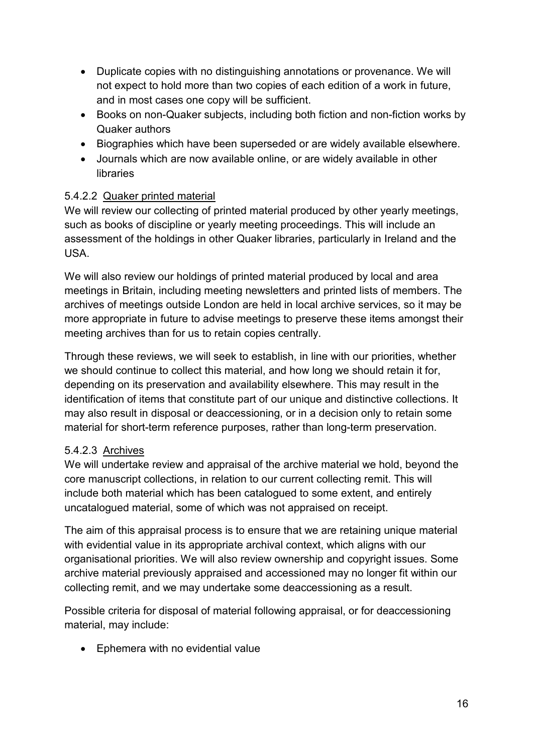- Duplicate copies with no distinguishing annotations or provenance. We will not expect to hold more than two copies of each edition of a work in future, and in most cases one copy will be sufficient.
- Books on non-Quaker subjects, including both fiction and non-fiction works by Quaker authors
- Biographies which have been superseded or are widely available elsewhere.
- Journals which are now available online, or are widely available in other libraries

### 5.4.2.2 Quaker printed material

We will review our collecting of printed material produced by other yearly meetings, such as books of discipline or yearly meeting proceedings. This will include an assessment of the holdings in other Quaker libraries, particularly in Ireland and the USA.

We will also review our holdings of printed material produced by local and area meetings in Britain, including meeting newsletters and printed lists of members. The archives of meetings outside London are held in local archive services, so it may be more appropriate in future to advise meetings to preserve these items amongst their meeting archives than for us to retain copies centrally.

Through these reviews, we will seek to establish, in line with our priorities, whether we should continue to collect this material, and how long we should retain it for, depending on its preservation and availability elsewhere. This may result in the identification of items that constitute part of our unique and distinctive collections. It may also result in disposal or deaccessioning, or in a decision only to retain some material for short-term reference purposes, rather than long-term preservation.

#### 5.4.2.3 Archives

We will undertake review and appraisal of the archive material we hold, beyond the core manuscript collections, in relation to our current collecting remit. This will include both material which has been catalogued to some extent, and entirely uncatalogued material, some of which was not appraised on receipt.

The aim of this appraisal process is to ensure that we are retaining unique material with evidential value in its appropriate archival context, which aligns with our organisational priorities. We will also review ownership and copyright issues. Some archive material previously appraised and accessioned may no longer fit within our collecting remit, and we may undertake some deaccessioning as a result.

Possible criteria for disposal of material following appraisal, or for deaccessioning material, may include:

• Ephemera with no evidential value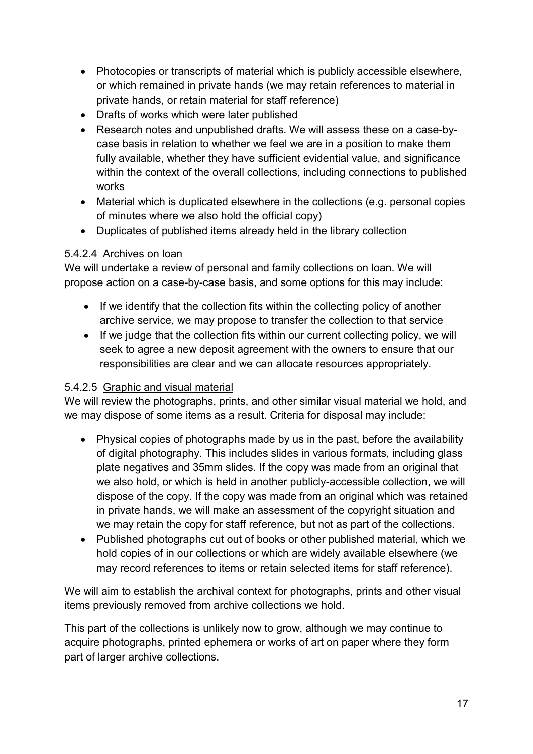- Photocopies or transcripts of material which is publicly accessible elsewhere, or which remained in private hands (we may retain references to material in private hands, or retain material for staff reference)
- Drafts of works which were later published
- Research notes and unpublished drafts. We will assess these on a case-bycase basis in relation to whether we feel we are in a position to make them fully available, whether they have sufficient evidential value, and significance within the context of the overall collections, including connections to published works
- Material which is duplicated elsewhere in the collections (e.g. personal copies of minutes where we also hold the official copy)
- Duplicates of published items already held in the library collection

#### 5.4.2.4 Archives on loan

We will undertake a review of personal and family collections on loan. We will propose action on a case-by-case basis, and some options for this may include:

- If we identify that the collection fits within the collecting policy of another archive service, we may propose to transfer the collection to that service
- If we judge that the collection fits within our current collecting policy, we will seek to agree a new deposit agreement with the owners to ensure that our responsibilities are clear and we can allocate resources appropriately.

#### 5.4.2.5 Graphic and visual material

We will review the photographs, prints, and other similar visual material we hold, and we may dispose of some items as a result. Criteria for disposal may include:

- Physical copies of photographs made by us in the past, before the availability of digital photography. This includes slides in various formats, including glass plate negatives and 35mm slides. If the copy was made from an original that we also hold, or which is held in another publicly-accessible collection, we will dispose of the copy. If the copy was made from an original which was retained in private hands, we will make an assessment of the copyright situation and we may retain the copy for staff reference, but not as part of the collections.
- Published photographs cut out of books or other published material, which we hold copies of in our collections or which are widely available elsewhere (we may record references to items or retain selected items for staff reference).

We will aim to establish the archival context for photographs, prints and other visual items previously removed from archive collections we hold.

This part of the collections is unlikely now to grow, although we may continue to acquire photographs, printed ephemera or works of art on paper where they form part of larger archive collections.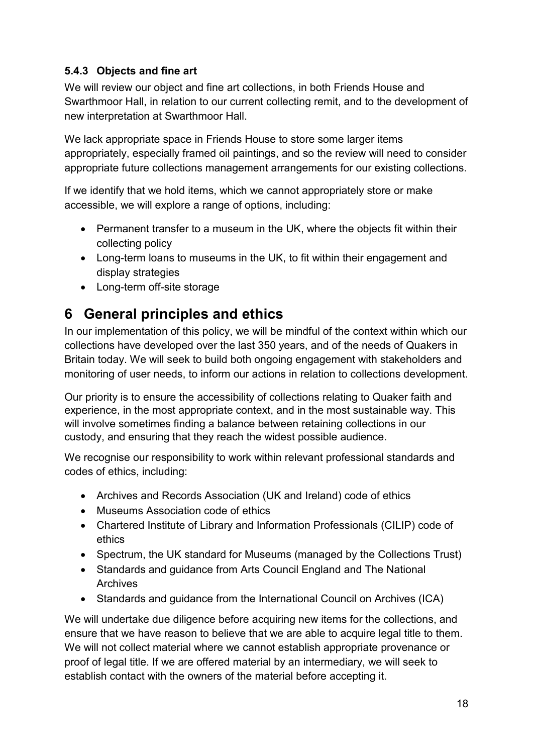#### <span id="page-17-0"></span>**5.4.3 Objects and fine art**

We will review our object and fine art collections, in both Friends House and Swarthmoor Hall, in relation to our current collecting remit, and to the development of new interpretation at Swarthmoor Hall.

We lack appropriate space in Friends House to store some larger items appropriately, especially framed oil paintings, and so the review will need to consider appropriate future collections management arrangements for our existing collections.

If we identify that we hold items, which we cannot appropriately store or make accessible, we will explore a range of options, including:

- Permanent transfer to a museum in the UK, where the objects fit within their collecting policy
- Long-term loans to museums in the UK, to fit within their engagement and display strategies
- Long-term off-site storage

## <span id="page-17-1"></span>**6 General principles and ethics**

In our implementation of this policy, we will be mindful of the context within which our collections have developed over the last 350 years, and of the needs of Quakers in Britain today. We will seek to build both ongoing engagement with stakeholders and monitoring of user needs, to inform our actions in relation to collections development.

Our priority is to ensure the accessibility of collections relating to Quaker faith and experience, in the most appropriate context, and in the most sustainable way. This will involve sometimes finding a balance between retaining collections in our custody, and ensuring that they reach the widest possible audience.

We recognise our responsibility to work within relevant professional standards and codes of ethics, including:

- Archives and Records Association (UK and Ireland) code of ethics
- Museums Association code of ethics
- Chartered Institute of Library and Information Professionals (CILIP) code of ethics
- Spectrum, the UK standard for Museums (managed by the Collections Trust)
- Standards and guidance from Arts Council England and The National Archives
- Standards and guidance from the International Council on Archives (ICA)

We will undertake due diligence before acquiring new items for the collections, and ensure that we have reason to believe that we are able to acquire legal title to them. We will not collect material where we cannot establish appropriate provenance or proof of legal title. If we are offered material by an intermediary, we will seek to establish contact with the owners of the material before accepting it.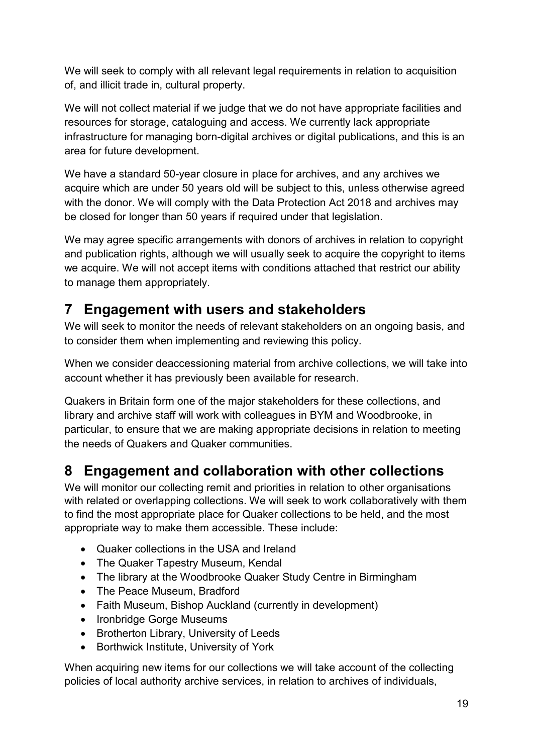We will seek to comply with all relevant legal requirements in relation to acquisition of, and illicit trade in, cultural property.

We will not collect material if we judge that we do not have appropriate facilities and resources for storage, cataloguing and access. We currently lack appropriate infrastructure for managing born-digital archives or digital publications, and this is an area for future development.

We have a standard 50-year closure in place for archives, and any archives we acquire which are under 50 years old will be subject to this, unless otherwise agreed with the donor. We will comply with the Data Protection Act 2018 and archives may be closed for longer than 50 years if required under that legislation.

We may agree specific arrangements with donors of archives in relation to copyright and publication rights, although we will usually seek to acquire the copyright to items we acquire. We will not accept items with conditions attached that restrict our ability to manage them appropriately.

## <span id="page-18-0"></span>**7 Engagement with users and stakeholders**

We will seek to monitor the needs of relevant stakeholders on an ongoing basis, and to consider them when implementing and reviewing this policy.

When we consider deaccessioning material from archive collections, we will take into account whether it has previously been available for research.

Quakers in Britain form one of the major stakeholders for these collections, and library and archive staff will work with colleagues in BYM and Woodbrooke, in particular, to ensure that we are making appropriate decisions in relation to meeting the needs of Quakers and Quaker communities.

## <span id="page-18-1"></span>**8 Engagement and collaboration with other collections**

We will monitor our collecting remit and priorities in relation to other organisations with related or overlapping collections. We will seek to work collaboratively with them to find the most appropriate place for Quaker collections to be held, and the most appropriate way to make them accessible. These include:

- Quaker collections in the USA and Ireland
- The Quaker Tapestry Museum, Kendal
- The library at the Woodbrooke Quaker Study Centre in Birmingham
- The Peace Museum, Bradford
- Faith Museum, Bishop Auckland (currently in development)
- Ironbridge Gorge Museums
- Brotherton Library, University of Leeds
- Borthwick Institute, University of York

When acquiring new items for our collections we will take account of the collecting policies of local authority archive services, in relation to archives of individuals,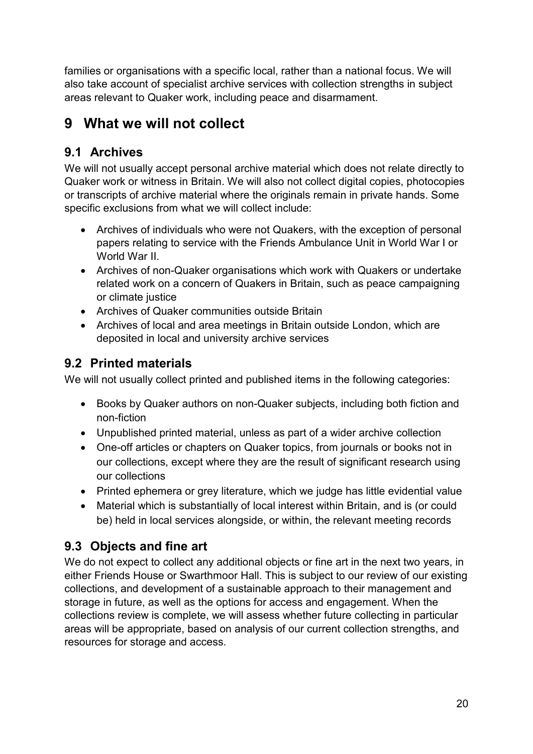families or organisations with a specific local, rather than a national focus. We will also take account of specialist archive services with collection strengths in subject areas relevant to Quaker work, including peace and disarmament.

# <span id="page-19-0"></span>**9 What we will not collect**

## <span id="page-19-1"></span>**9.1 Archives**

We will not usually accept personal archive material which does not relate directly to Quaker work or witness in Britain. We will also not collect digital copies, photocopies or transcripts of archive material where the originals remain in private hands. Some specific exclusions from what we will collect include:

- Archives of individuals who were not Quakers, with the exception of personal papers relating to service with the Friends Ambulance Unit in World War I or World War II.
- Archives of non-Quaker organisations which work with Quakers or undertake related work on a concern of Quakers in Britain, such as peace campaigning or climate justice
- Archives of Quaker communities outside Britain
- Archives of local and area meetings in Britain outside London, which are deposited in local and university archive services

### <span id="page-19-2"></span>**9.2 Printed materials**

We will not usually collect printed and published items in the following categories:

- Books by Quaker authors on non-Quaker subjects, including both fiction and non-fiction
- Unpublished printed material, unless as part of a wider archive collection
- One-off articles or chapters on Quaker topics, from journals or books not in our collections, except where they are the result of significant research using our collections
- Printed ephemera or grey literature, which we judge has little evidential value
- Material which is substantially of local interest within Britain, and is (or could be) held in local services alongside, or within, the relevant meeting records

## <span id="page-19-3"></span>**9.3 Objects and fine art**

We do not expect to collect any additional objects or fine art in the next two years, in either Friends House or Swarthmoor Hall. This is subject to our review of our existing collections, and development of a sustainable approach to their management and storage in future, as well as the options for access and engagement. When the collections review is complete, we will assess whether future collecting in particular areas will be appropriate, based on analysis of our current collection strengths, and resources for storage and access.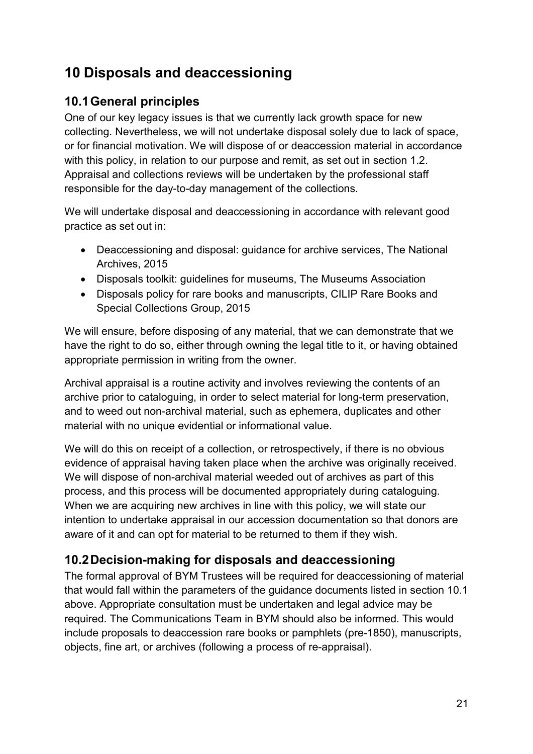## <span id="page-20-0"></span>**10 Disposals and deaccessioning**

### <span id="page-20-1"></span>**10.1General principles**

One of our key legacy issues is that we currently lack growth space for new collecting. Nevertheless, we will not undertake disposal solely due to lack of space, or for financial motivation. We will dispose of or deaccession material in accordance with this policy, in relation to our purpose and remit, as set out in section 1.2. Appraisal and collections reviews will be undertaken by the professional staff responsible for the day-to-day management of the collections.

We will undertake disposal and deaccessioning in accordance with relevant good practice as set out in:

- Deaccessioning and disposal: guidance for archive services, The National Archives, 2015
- Disposals toolkit: guidelines for museums, The Museums Association
- Disposals policy for rare books and manuscripts, CILIP Rare Books and Special Collections Group, 2015

We will ensure, before disposing of any material, that we can demonstrate that we have the right to do so, either through owning the legal title to it, or having obtained appropriate permission in writing from the owner.

Archival appraisal is a routine activity and involves reviewing the contents of an archive prior to cataloguing, in order to select material for long-term preservation, and to weed out non-archival material, such as ephemera, duplicates and other material with no unique evidential or informational value.

We will do this on receipt of a collection, or retrospectively, if there is no obvious evidence of appraisal having taken place when the archive was originally received. We will dispose of non-archival material weeded out of archives as part of this process, and this process will be documented appropriately during cataloguing. When we are acquiring new archives in line with this policy, we will state our intention to undertake appraisal in our accession documentation so that donors are aware of it and can opt for material to be returned to them if they wish.

## <span id="page-20-2"></span>**10.2Decision-making for disposals and deaccessioning**

The formal approval of BYM Trustees will be required for deaccessioning of material that would fall within the parameters of the guidance documents listed in section 10.1 above. Appropriate consultation must be undertaken and legal advice may be required. The Communications Team in BYM should also be informed. This would include proposals to deaccession rare books or pamphlets (pre-1850), manuscripts, objects, fine art, or archives (following a process of re-appraisal).